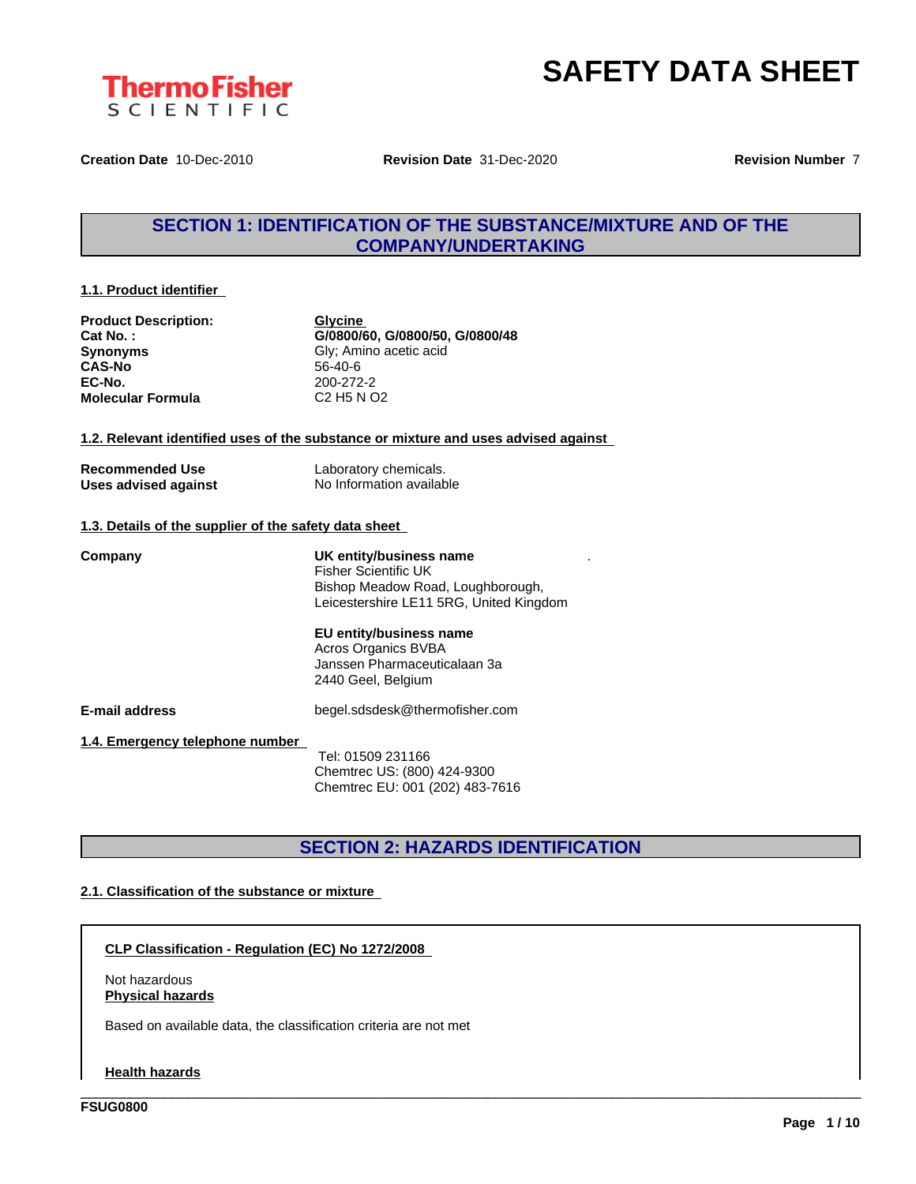

.



**Creation Date** 10-Dec-2010 **Revision Date** 31-Dec-2020 **Revision Number** 7

## **SECTION 1: IDENTIFICATION OF THE SUBSTANCE/MIXTURE AND OF THE COMPANY/UNDERTAKING**

#### **1.1. Product identifier**

| <b>Product Description:</b> |
|-----------------------------|
| Cat No.:                    |
| <b>Synonyms</b>             |
| <b>CAS-No</b>               |
| EC-No.                      |
| <b>Molecular Formula</b>    |

**Glycine Cat No. : G/0800/60, G/0800/50, G/0800/48 Gly**; Amino acetic acid **CAS-No** 56-40-6 **EC-No.** 200-272-2 **Molecular Formula** C2 H5 N O2

#### **1.2. Relevant identified uses of the substance or mixture and uses advised against**

| <b>Recommended Use</b> |  |
|------------------------|--|
| Uses advised against   |  |

Laboratory chemicals. **No Information available** 

#### **1.3. Details of the supplier of the safety data sheet**

**Company UK entity/business name** Fisher Scientific UK Bishop Meadow Road, Loughborough, Leicestershire LE11 5RG, United Kingdom

#### **EU entity/business name** Acros Organics BVBA

Janssen Pharmaceuticalaan 3a 2440 Geel, Belgium

**E-mail address** begel.sdsdesk@thermofisher.com

**1.4. Emergency telephone number**

Tel: 01509 231166 Chemtrec US: (800) 424-9300 Chemtrec EU: 001 (202) 483-7616

## **SECTION 2: HAZARDS IDENTIFICATION**

\_\_\_\_\_\_\_\_\_\_\_\_\_\_\_\_\_\_\_\_\_\_\_\_\_\_\_\_\_\_\_\_\_\_\_\_\_\_\_\_\_\_\_\_\_\_\_\_\_\_\_\_\_\_\_\_\_\_\_\_\_\_\_\_\_\_\_\_\_\_\_\_\_\_\_\_\_\_\_\_\_\_\_\_\_\_\_\_\_\_\_\_\_\_

#### **2.1. Classification of the substance or mixture**

**CLP Classification - Regulation (EC) No 1272/2008**

Not hazardous **Physical hazards**

Based on available data, the classification criteria are not met

**Health hazards**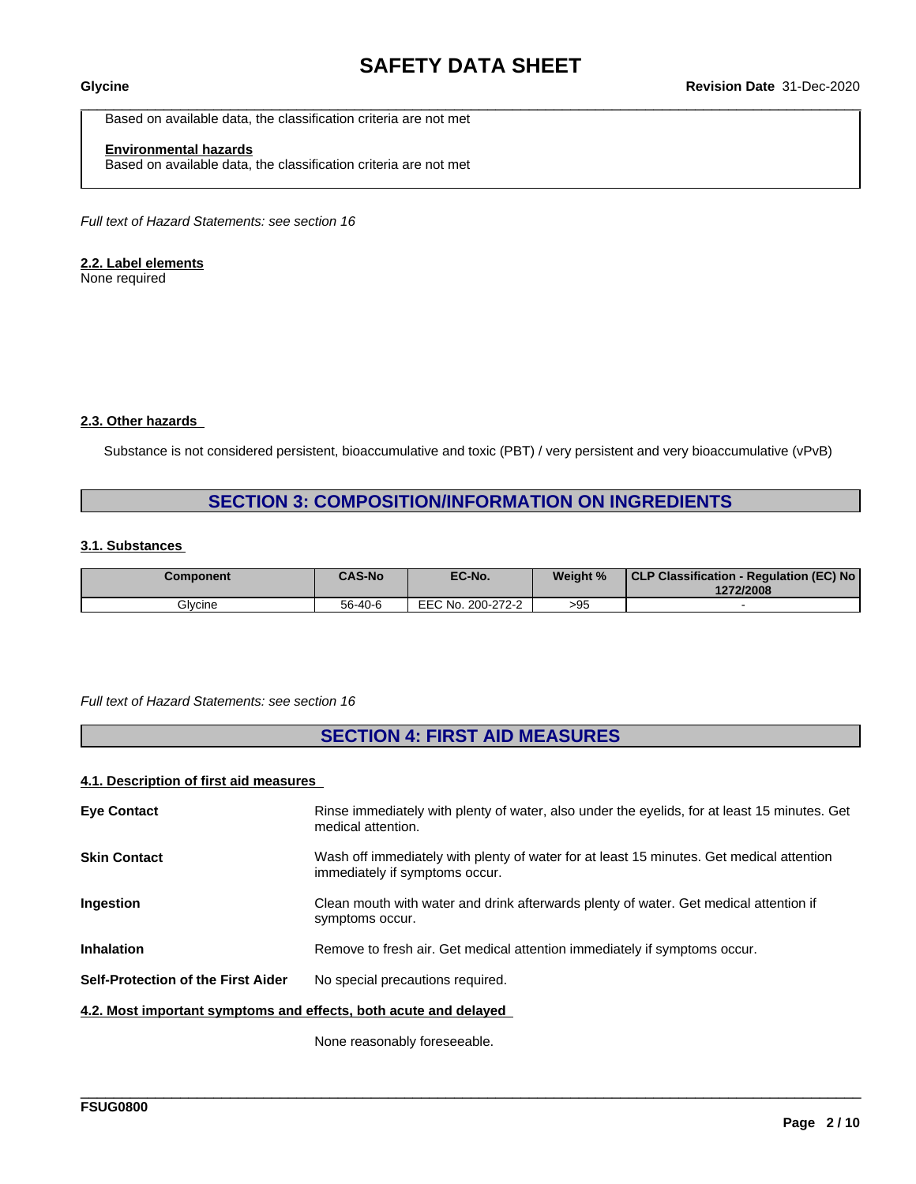Based on available data, the classification criteria are not met

#### **Environmental hazards**

Based on available data, the classification criteria are not met

*Full text of Hazard Statements: see section 16*

#### **2.2. Label elements**

None required

#### **2.3. Other hazards**

Substance is not considered persistent, bioaccumulative and toxic (PBT) / very persistent and very bioaccumulative (vPvB)

## **SECTION 3: COMPOSITION/INFORMATION ON INGREDIENTS**

#### **3.1. Substances**

| Component | <b>CAS-No</b> | EC-No.            | Weight % | CLP Classification - Regulation (EC) No<br>1272/2008 |
|-----------|---------------|-------------------|----------|------------------------------------------------------|
| Glycine   | 56-40-6       | EEC No. 200-272-2 | >95      |                                                      |

#### *Full text of Hazard Statements: see section 16*

## **SECTION 4: FIRST AID MEASURES**

#### **4.1. Description of first aid measures**

| <b>Eye Contact</b>                                               | Rinse immediately with plenty of water, also under the eyelids, for at least 15 minutes. Get<br>medical attention.         |
|------------------------------------------------------------------|----------------------------------------------------------------------------------------------------------------------------|
| <b>Skin Contact</b>                                              | Wash off immediately with plenty of water for at least 15 minutes. Get medical attention<br>immediately if symptoms occur. |
| Ingestion                                                        | Clean mouth with water and drink afterwards plenty of water. Get medical attention if<br>symptoms occur.                   |
| <b>Inhalation</b>                                                | Remove to fresh air. Get medical attention immediately if symptoms occur.                                                  |
| <b>Self-Protection of the First Aider</b>                        | No special precautions required.                                                                                           |
| 4.2. Most important symptoms and effects, both acute and delayed |                                                                                                                            |
|                                                                  |                                                                                                                            |

\_\_\_\_\_\_\_\_\_\_\_\_\_\_\_\_\_\_\_\_\_\_\_\_\_\_\_\_\_\_\_\_\_\_\_\_\_\_\_\_\_\_\_\_\_\_\_\_\_\_\_\_\_\_\_\_\_\_\_\_\_\_\_\_\_\_\_\_\_\_\_\_\_\_\_\_\_\_\_\_\_\_\_\_\_\_\_\_\_\_\_\_\_\_

None reasonably foreseeable.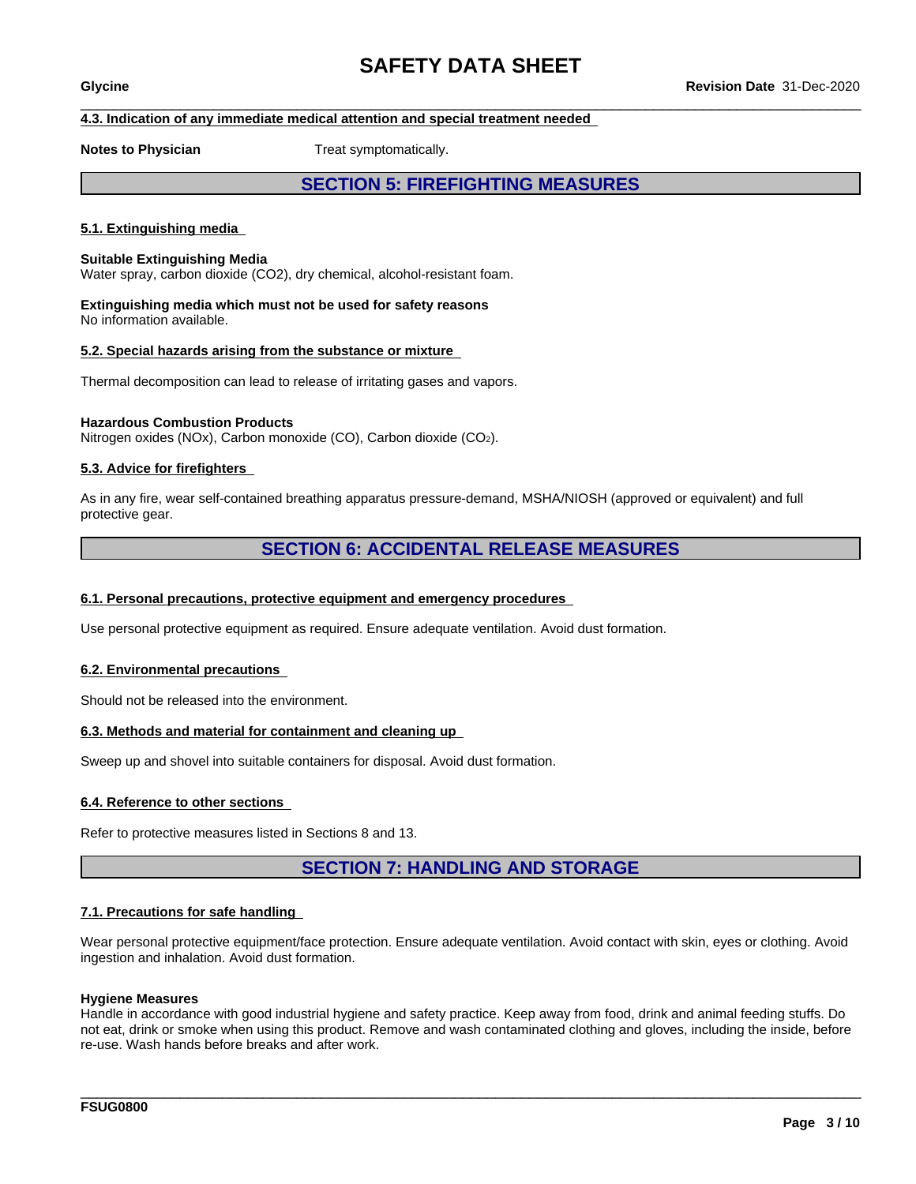#### **4.3. Indication of any immediate medical attention and special treatment needed**

**Notes to Physician** Treat symptomatically.

## **SECTION 5: FIREFIGHTING MEASURES**

#### **5.1. Extinguishing media**

#### **Suitable Extinguishing Media**

Water spray, carbon dioxide (CO2), dry chemical, alcohol-resistant foam.

**Extinguishing media which must not be used for safety reasons** No information available.

#### **5.2. Special hazards arising from the substance or mixture**

Thermal decomposition can lead to release of irritating gases and vapors.

#### **Hazardous Combustion Products**

Nitrogen oxides (NOx), Carbon monoxide (CO), Carbon dioxide (CO2).

#### **5.3. Advice for firefighters**

As in any fire, wear self-contained breathing apparatus pressure-demand, MSHA/NIOSH (approved or equivalent) and full protective gear.

#### **SECTION 6: ACCIDENTAL RELEASE MEASURES**

#### **6.1. Personal precautions, protective equipment and emergency procedures**

Use personal protective equipment as required. Ensure adequate ventilation. Avoid dust formation.

#### **6.2. Environmental precautions**

Should not be released into the environment.

#### **6.3. Methods and material for containment and cleaning up**

Sweep up and shovel into suitable containers for disposal. Avoid dust formation.

#### **6.4. Reference to other sections**

Refer to protective measures listed in Sections 8 and 13.

## **SECTION 7: HANDLING AND STORAGE**

#### **7.1. Precautions for safe handling**

Wear personal protective equipment/face protection. Ensure adequate ventilation. Avoid contact with skin, eyes or clothing. Avoid ingestion and inhalation. Avoid dust formation.

#### **Hygiene Measures**

Handle in accordance with good industrial hygiene and safety practice. Keep away from food, drink and animal feeding stuffs. Do not eat, drink or smoke when using this product. Remove and wash contaminated clothing and gloves, including the inside, before re-use. Wash hands before breaks and after work.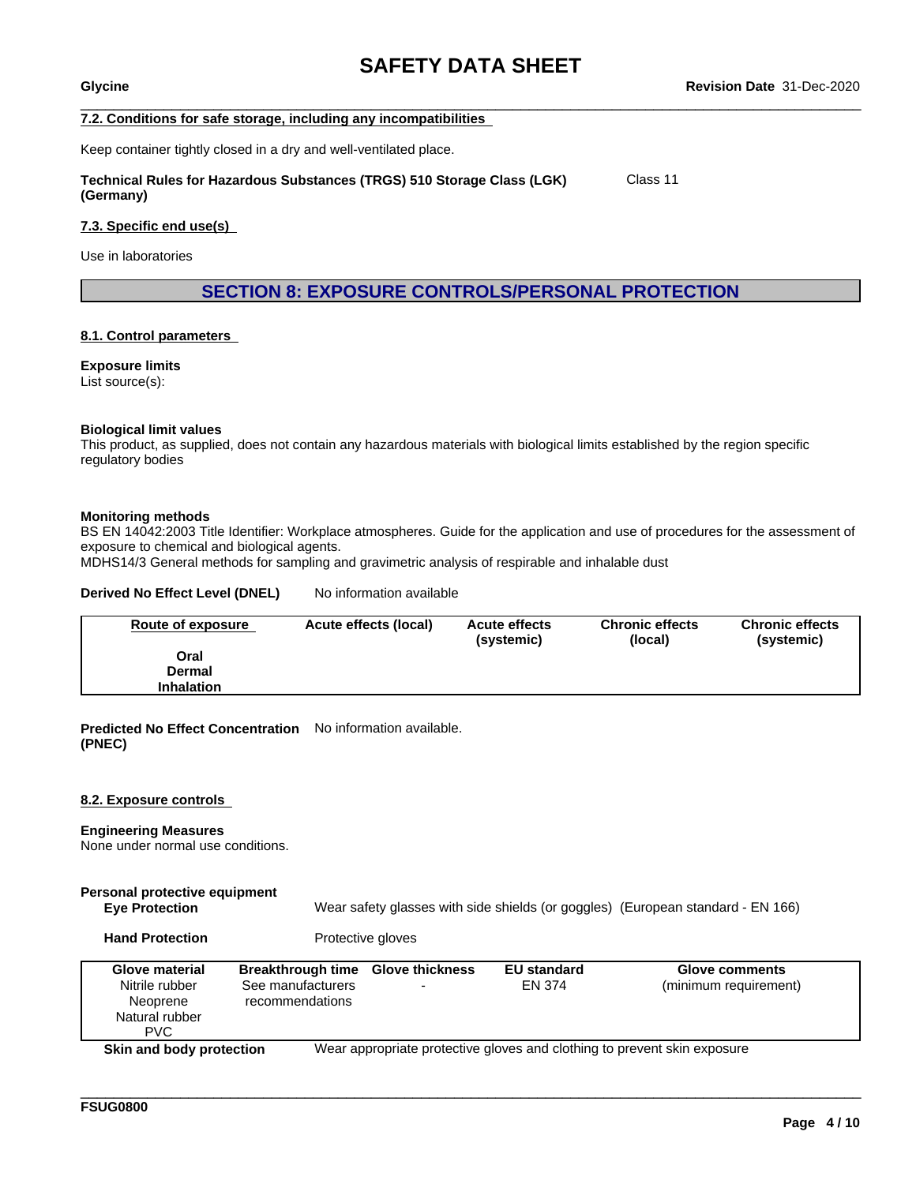Class 11

#### **7.2. Conditions for safe storage, including any incompatibilities**

Keep container tightly closed in a dry and well-ventilated place.

#### **Technical Rules for Hazardous Substances (TRGS) 510 Storage Class (LGK) (Germany)**

#### **7.3. Specific end use(s)**

Use in laboratories

**SECTION 8: EXPOSURE CONTROLS/PERSONAL PROTECTION**

#### **8.1. Control parameters**

**Exposure limits** List source(s):

#### **Biological limit values**

This product, as supplied, does not contain any hazardous materials with biological limits established by the region specific regulatory bodies

#### **Monitoring methods**

BS EN 14042:2003 Title Identifier: Workplace atmospheres. Guide for the application and use of procedures for the assessment of exposure to chemical and biological agents.

MDHS14/3 General methods for sampling and gravimetric analysis of respirable and inhalable dust

#### **Derived No Effect Level (DNEL)** No information available

| Route of exposure | Acute effects (local) | <b>Acute effects</b><br>(systemic) | <b>Chronic effects</b><br>(local) | <b>Chronic effects</b><br>(systemic) |
|-------------------|-----------------------|------------------------------------|-----------------------------------|--------------------------------------|
| Oral              |                       |                                    |                                   |                                      |
| Dermal            |                       |                                    |                                   |                                      |
| <b>Inhalation</b> |                       |                                    |                                   |                                      |

**Predicted No Effect Concentration** No information available. **(PNEC)**

#### **8.2. Exposure controls**

#### **Engineering Measures**

None under normal use conditions.

## **Personal protective equipment**

**Eye Protection** Wear safety glasses with side shields (or goggles) (European standard - EN 166)

\_\_\_\_\_\_\_\_\_\_\_\_\_\_\_\_\_\_\_\_\_\_\_\_\_\_\_\_\_\_\_\_\_\_\_\_\_\_\_\_\_\_\_\_\_\_\_\_\_\_\_\_\_\_\_\_\_\_\_\_\_\_\_\_\_\_\_\_\_\_\_\_\_\_\_\_\_\_\_\_\_\_\_\_\_\_\_\_\_\_\_\_\_\_

Hand Protection **Protective gloves** 

| <b>Glove material</b><br>Nitrile rubber<br>Neoprene<br>Natural rubber<br>PVC. | <b>Breakthrough time</b><br>See manufacturers<br>recommendations | <b>Glove thickness</b><br>- | <b>EU standard</b><br>EN 374 | <b>Glove comments</b><br>(minimum requirement)                           |
|-------------------------------------------------------------------------------|------------------------------------------------------------------|-----------------------------|------------------------------|--------------------------------------------------------------------------|
| Skin and body protection                                                      |                                                                  |                             |                              | Wear appropriate protective gloves and clothing to prevent skin exposure |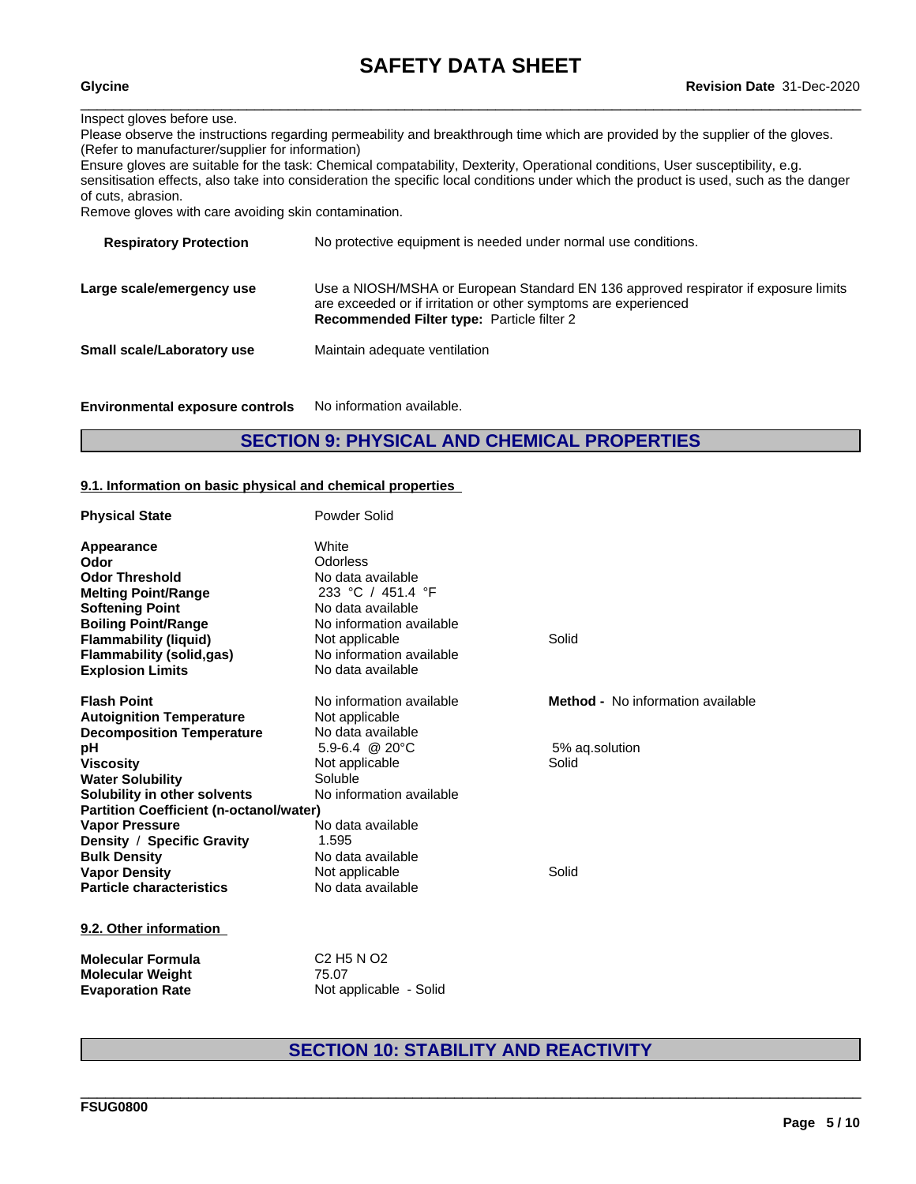#### Inspect gloves before use.

Please observe the instructions regarding permeability and breakthrough time which are provided by the supplier of the gloves. (Refer to manufacturer/supplier for information)

Ensure gloves are suitable for the task: Chemical compatability, Dexterity, Operational conditions, User susceptibility, e.g. sensitisation effects, also take into consideration the specific local conditions under which the product is used, such as the danger of cuts, abrasion.

Remove gloves with care avoiding skin contamination.

| <b>Respiratory Protection</b>     | No protective equipment is needed under normal use conditions.                                                                                                                                              |
|-----------------------------------|-------------------------------------------------------------------------------------------------------------------------------------------------------------------------------------------------------------|
| Large scale/emergency use         | Use a NIOSH/MSHA or European Standard EN 136 approved respirator if exposure limits<br>are exceeded or if irritation or other symptoms are experienced<br><b>Recommended Filter type: Particle filter 2</b> |
| <b>Small scale/Laboratory use</b> | Maintain adequate ventilation                                                                                                                                                                               |
|                                   |                                                                                                                                                                                                             |

**Environmental exposure controls** No information available.

## **SECTION 9: PHYSICAL AND CHEMICAL PROPERTIES**

#### **9.1. Information on basic physical and chemical properties**

| <b>Physical State</b>                          | Powder Solid                                   |                                          |  |
|------------------------------------------------|------------------------------------------------|------------------------------------------|--|
| <b>Appearance</b>                              | White                                          |                                          |  |
| Odor                                           | Odorless                                       |                                          |  |
| <b>Odor Threshold</b>                          | No data available                              |                                          |  |
| <b>Melting Point/Range</b>                     | 233 °C / 451.4 °F                              |                                          |  |
| <b>Softening Point</b>                         | No data available                              |                                          |  |
| <b>Boiling Point/Range</b>                     | No information available                       |                                          |  |
| <b>Flammability (liquid)</b>                   | Not applicable                                 | Solid                                    |  |
| <b>Flammability (solid,gas)</b>                | No information available                       |                                          |  |
| <b>Explosion Limits</b>                        | No data available                              |                                          |  |
| <b>Flash Point</b>                             | No information available                       | <b>Method -</b> No information available |  |
| <b>Autoignition Temperature</b>                | Not applicable                                 |                                          |  |
| <b>Decomposition Temperature</b>               | No data available                              |                                          |  |
| рH                                             | 5.9-6.4 @ 20 $^{\circ}$ C                      | 5% ag.solution                           |  |
| <b>Viscosity</b>                               | Not applicable                                 | Solid                                    |  |
| <b>Water Solubility</b>                        | Soluble                                        |                                          |  |
| Solubility in other solvents                   | No information available                       |                                          |  |
| <b>Partition Coefficient (n-octanol/water)</b> |                                                |                                          |  |
| <b>Vapor Pressure</b>                          | No data available                              |                                          |  |
| Density / Specific Gravity                     | 1.595                                          |                                          |  |
| <b>Bulk Density</b>                            | No data available                              |                                          |  |
| <b>Vapor Density</b>                           | Not applicable                                 | Solid                                    |  |
| <b>Particle characteristics</b>                | No data available                              |                                          |  |
| 9.2. Other information                         |                                                |                                          |  |
| <b>Molecular Formula</b>                       | C <sub>2</sub> H <sub>5</sub> N O <sub>2</sub> |                                          |  |
| <b>Molecular Weight</b>                        | 75.07                                          |                                          |  |
| <b>Evaporation Rate</b>                        | Not applicable - Solid                         |                                          |  |

## **SECTION 10: STABILITY AND REACTIVITY**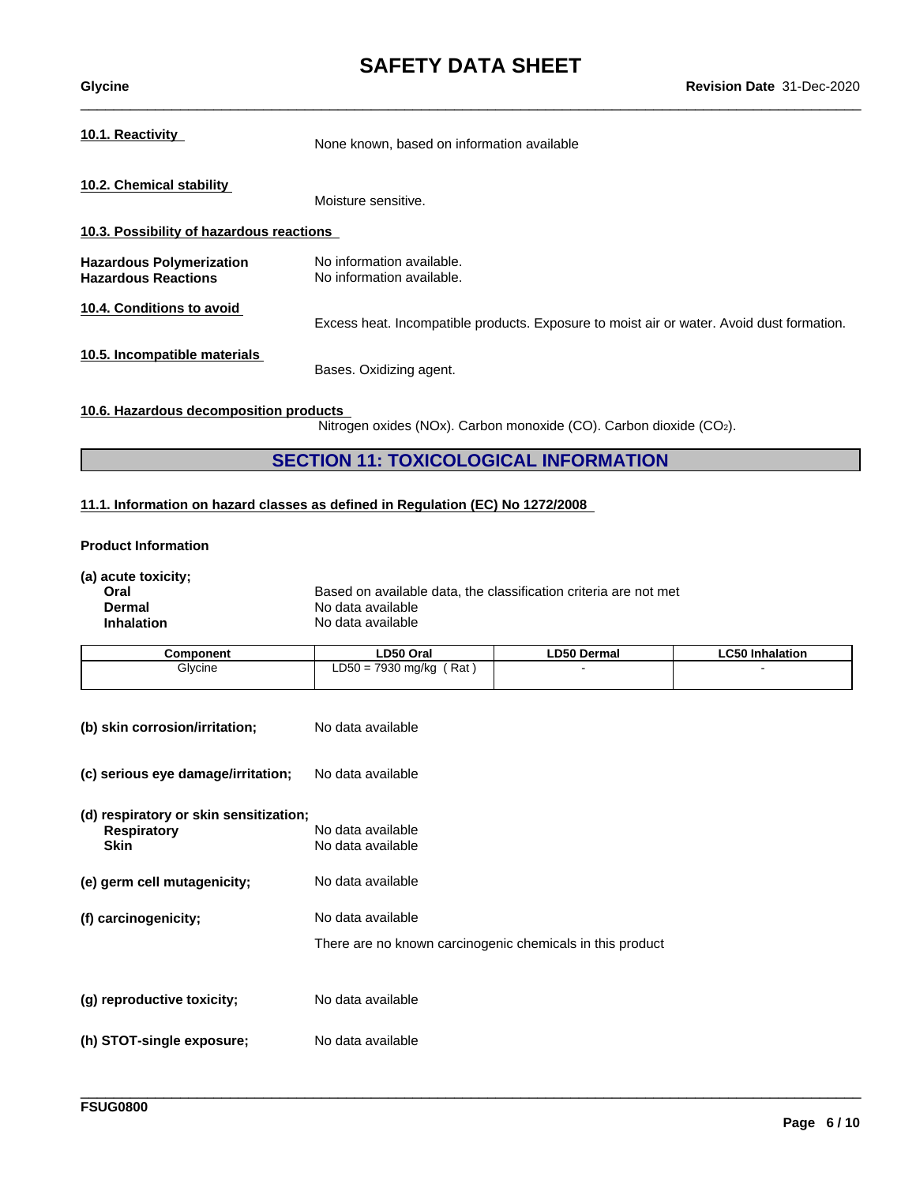# **SAFETY DATA SHEET**<br>Revision Date 31-Dec-2020

| Glycine                                                       | <b>Revision Date 31-Dec-2020</b>                                                          |
|---------------------------------------------------------------|-------------------------------------------------------------------------------------------|
| 10.1. Reactivity                                              | None known, based on information available                                                |
| 10.2. Chemical stability                                      | Moisture sensitive.                                                                       |
| 10.3. Possibility of hazardous reactions                      |                                                                                           |
| <b>Hazardous Polymerization</b><br><b>Hazardous Reactions</b> | No information available.<br>No information available.                                    |
| 10.4. Conditions to avoid                                     | Excess heat. Incompatible products. Exposure to moist air or water. Avoid dust formation. |
| 10.5. Incompatible materials                                  | Bases. Oxidizing agent.                                                                   |
|                                                               |                                                                                           |

#### **10.6. Hazardous decomposition products**

Nitrogen oxides (NOx). Carbon monoxide (CO). Carbon dioxide (CO2).

\_\_\_\_\_\_\_\_\_\_\_\_\_\_\_\_\_\_\_\_\_\_\_\_\_\_\_\_\_\_\_\_\_\_\_\_\_\_\_\_\_\_\_\_\_\_\_\_\_\_\_\_\_\_\_\_\_\_\_\_\_\_\_\_\_\_\_\_\_\_\_\_\_\_\_\_\_\_\_\_\_\_\_\_\_\_\_\_\_\_\_\_\_\_

## **SECTION 11: TOXICOLOGICAL INFORMATION**

#### **11.1. Information on hazard classes as defined in Regulation (EC) No 1272/2008**

#### **Product Information**

| (a) acute toxicity;<br>Oral<br><b>Dermal</b><br><b>Inhalation</b>           | Based on available data, the classification criteria are not met<br>No data available<br>No data available |                    |                        |
|-----------------------------------------------------------------------------|------------------------------------------------------------------------------------------------------------|--------------------|------------------------|
| Component                                                                   | LD50 Oral                                                                                                  | <b>LD50 Dermal</b> | <b>LC50 Inhalation</b> |
| Glycine                                                                     | $LD50 = 7930$ mg/kg (Rat)                                                                                  |                    |                        |
| (b) skin corrosion/irritation;                                              | No data available                                                                                          |                    |                        |
| (c) serious eye damage/irritation;                                          | No data available                                                                                          |                    |                        |
| (d) respiratory or skin sensitization;<br><b>Respiratory</b><br><b>Skin</b> | No data available<br>No data available                                                                     |                    |                        |
| (e) germ cell mutagenicity;                                                 | No data available                                                                                          |                    |                        |
| (f) carcinogenicity;                                                        | No data available                                                                                          |                    |                        |
|                                                                             | There are no known carcinogenic chemicals in this product                                                  |                    |                        |
| (g) reproductive toxicity;                                                  | No data available                                                                                          |                    |                        |
| (h) STOT-single exposure;                                                   | No data available                                                                                          |                    |                        |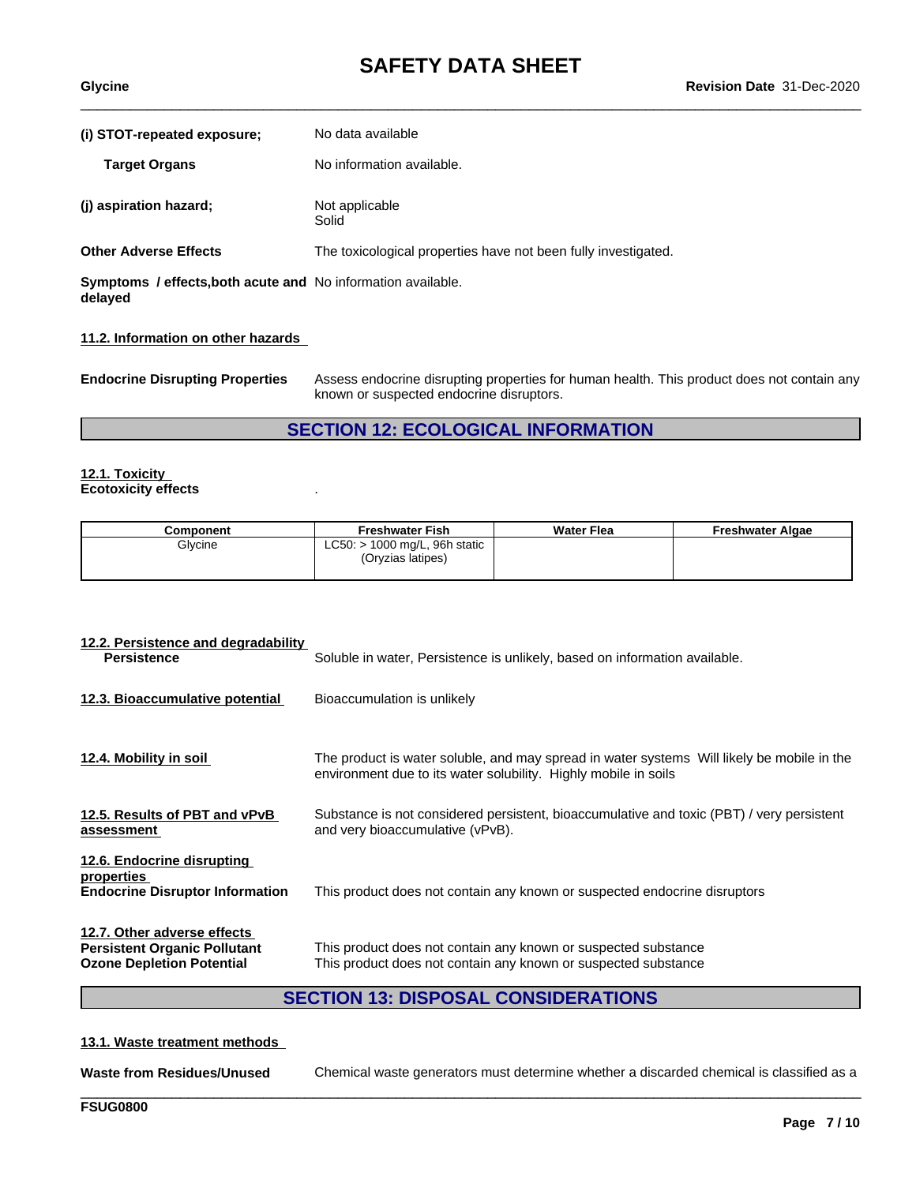| (i) STOT-repeated exposure;<br><b>Target Organs</b>                            | No data available<br>No information available.                 |
|--------------------------------------------------------------------------------|----------------------------------------------------------------|
| (j) aspiration hazard;                                                         | Not applicable<br>Solid                                        |
| <b>Other Adverse Effects</b>                                                   | The toxicological properties have not been fully investigated. |
| <b>Symptoms / effects, both acute and No information available.</b><br>delayed |                                                                |

#### **11.2. Information on other hazards**

**Endocrine Disrupting Properties** Assess endocrine disrupting properties for human health. This product does not contain any known or suspected endocrine disruptors.

## **SECTION 12: ECOLOGICAL INFORMATION**

#### **12.1. Toxicity Ecotoxicity effects** .

| Component | <b>Freshwater Fish</b>                               | <b>Water Flea</b> | <b>Freshwater Algae</b> |
|-----------|------------------------------------------------------|-------------------|-------------------------|
| Glycine   | $LC50:$ > 1000 mg/L, 96h static<br>(Oryzias latipes) |                   |                         |
|           |                                                      |                   |                         |

| 12.2. Persistence and degradability<br><b>Persistence</b>                                              | Soluble in water, Persistence is unlikely, based on information available.                                                                                    |
|--------------------------------------------------------------------------------------------------------|---------------------------------------------------------------------------------------------------------------------------------------------------------------|
| 12.3. Bioaccumulative potential                                                                        | Bioaccumulation is unlikely                                                                                                                                   |
| 12.4. Mobility in soil                                                                                 | The product is water soluble, and may spread in water systems Will likely be mobile in the<br>environment due to its water solubility. Highly mobile in soils |
| 12.5. Results of PBT and vPvB<br>assessment                                                            | Substance is not considered persistent, bioaccumulative and toxic (PBT) / very persistent<br>and very bioaccumulative (vPvB).                                 |
| 12.6. Endocrine disrupting<br>properties<br><b>Endocrine Disruptor Information</b>                     | This product does not contain any known or suspected endocrine disruptors                                                                                     |
| 12.7. Other adverse effects<br><b>Persistent Organic Pollutant</b><br><b>Ozone Depletion Potential</b> | This product does not contain any known or suspected substance<br>This product does not contain any known or suspected substance                              |

## **SECTION 13: DISPOSAL CONSIDERATIONS**

#### **13.1. Waste treatment methods**

**Waste from Residues/Unused** Chemical waste generators must determine whether a discarded chemical is classified as a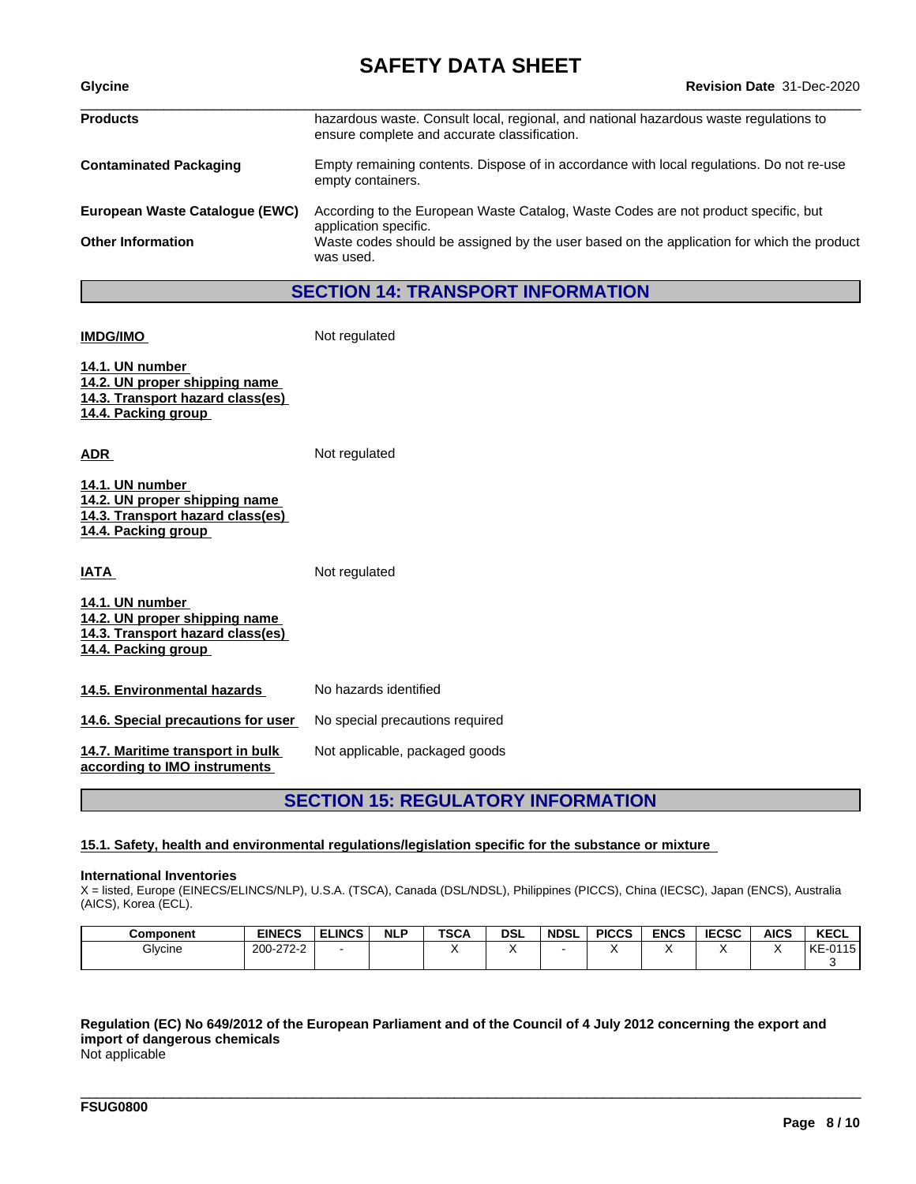# **SAFETY DATA SHEET**<br>Revision Date 31-Dec-2020

| <b>Revision Date 31-Dec-2020</b>                                                                                                      |  |  |
|---------------------------------------------------------------------------------------------------------------------------------------|--|--|
| hazardous waste. Consult local, regional, and national hazardous waste regulations to<br>ensure complete and accurate classification. |  |  |
| Empty remaining contents. Dispose of in accordance with local regulations. Do not re-use<br>empty containers.                         |  |  |
| According to the European Waste Catalog, Waste Codes are not product specific, but<br>application specific.                           |  |  |
| Waste codes should be assigned by the user based on the application for which the product<br>was used.                                |  |  |
|                                                                                                                                       |  |  |

### **SECTION 14: TRANSPORT INFORMATION**

**IMDG/IMO** Not regulated

**14.1. UN number 14.2. UN proper shipping name 14.3. Transport hazard class(es) 14.4. Packing group**

**ADR** Not regulated

| 14.1. UN number                  |  |
|----------------------------------|--|
| 14.2. UN proper shipping name    |  |
| 14.3. Transport hazard class(es) |  |
| 14.4. Packing group              |  |

**IATA** Not regulated

| 14.1. UN number                  |  |
|----------------------------------|--|
| 14.2. UN proper shipping name    |  |
| 14.3. Transport hazard class(es) |  |
| 14.4. Packing group              |  |
|                                  |  |

| 14.5. Environmental hazards | No hazards identified |  |  |
|-----------------------------|-----------------------|--|--|
|                             |                       |  |  |

**14.6. Special precautions for user** No special precautions required

**14.7. Maritime transport in bulk** Not applicable, packaged goods

**according to IMO instruments**

## **SECTION 15: REGULATORY INFORMATION**

#### **15.1. Safety, health and environmental regulations/legislation specific for the substance or mixture**

#### **International Inventories**

X = listed, Europe (EINECS/ELINCS/NLP), U.S.A. (TSCA), Canada (DSL/NDSL), Philippines (PICCS), China (IECSC), Japan (ENCS), Australia (AICS), Korea (ECL).

| <b>Component</b> | <b>EINECS</b>        | <b>ELINCS</b> | <b>NLP</b> | <b>TSCA</b> | <b>DSL</b> | <b>NDSL</b> | <b>PICCS</b> | <b>ENCS</b> | <b>IECSC</b> | <b>AICS</b> | <b>KECL</b>              |
|------------------|----------------------|---------------|------------|-------------|------------|-------------|--------------|-------------|--------------|-------------|--------------------------|
| Glycine          | 200-272-2<br>J-212-2 |               |            |             |            |             | . .          |             |              |             | 0.41<br>KE<br>15<br>--u. |
|                  |                      |               |            |             |            |             |              |             |              |             |                          |

\_\_\_\_\_\_\_\_\_\_\_\_\_\_\_\_\_\_\_\_\_\_\_\_\_\_\_\_\_\_\_\_\_\_\_\_\_\_\_\_\_\_\_\_\_\_\_\_\_\_\_\_\_\_\_\_\_\_\_\_\_\_\_\_\_\_\_\_\_\_\_\_\_\_\_\_\_\_\_\_\_\_\_\_\_\_\_\_\_\_\_\_\_\_

## Regulation (EC) No 649/2012 of the European Parliament and of the Council of 4 July 2012 concerning the export and **import of dangerous chemicals**

Not applicable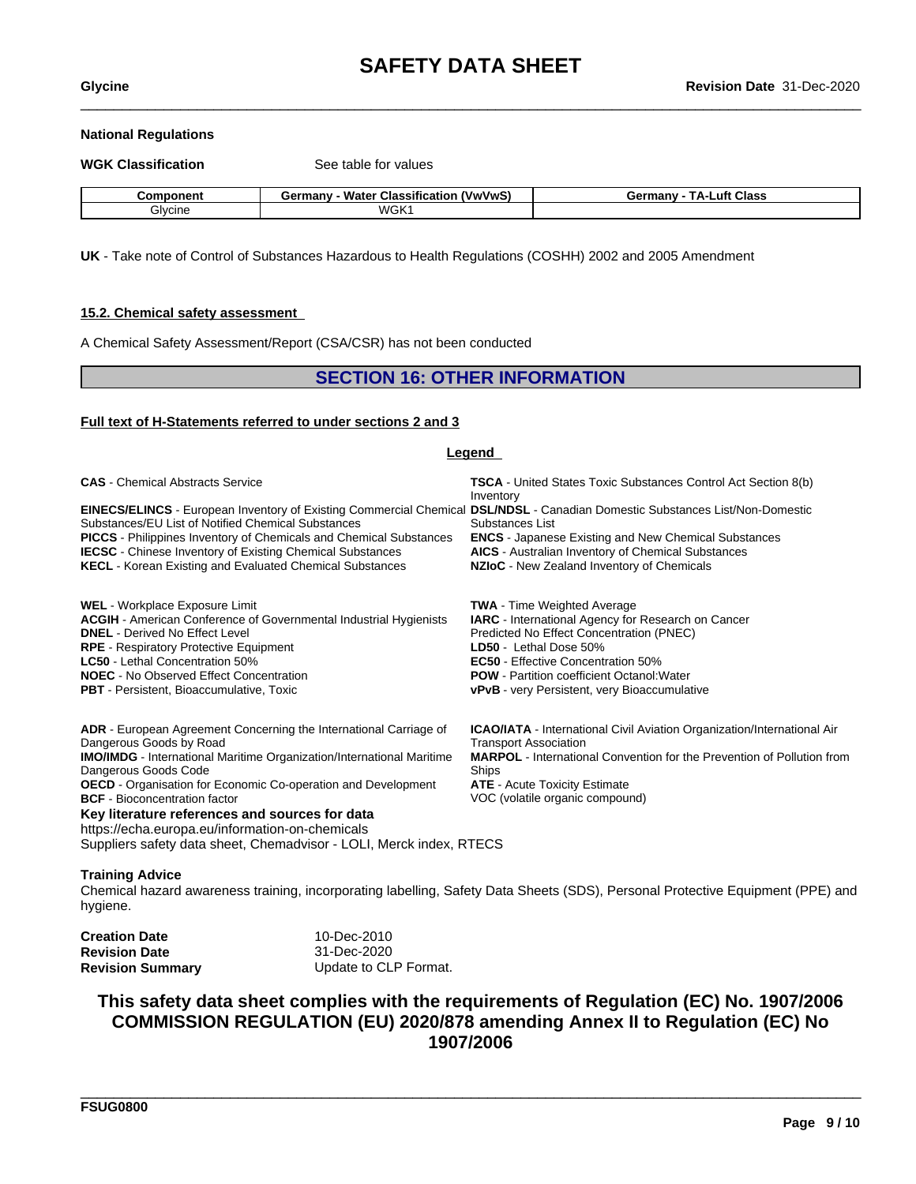#### **National Regulations**

| <b>WGK Classification</b> | See table for values                          |                                |
|---------------------------|-----------------------------------------------|--------------------------------|
| Component                 | <b>Germany - Water Classification (VwVwS)</b> | <b>Germany - TA-Luft Class</b> |
| Glycine                   | WGK1                                          |                                |

**UK** - Take note of Control of Substances Hazardous to Health Regulations (COSHH) 2002 and 2005 Amendment

#### **15.2. Chemical safety assessment**

A Chemical Safety Assessment/Report (CSA/CSR) has not been conducted

### **SECTION 16: OTHER INFORMATION**

#### **Full text of H-Statements referred to undersections 2 and 3**

| Legend                                                                                                                                                                                                                                                                                                                                                                                                                                                                                    |                                                                                                                                                                                                                                                                                                                         |  |  |
|-------------------------------------------------------------------------------------------------------------------------------------------------------------------------------------------------------------------------------------------------------------------------------------------------------------------------------------------------------------------------------------------------------------------------------------------------------------------------------------------|-------------------------------------------------------------------------------------------------------------------------------------------------------------------------------------------------------------------------------------------------------------------------------------------------------------------------|--|--|
| <b>CAS</b> - Chemical Abstracts Service                                                                                                                                                                                                                                                                                                                                                                                                                                                   | <b>TSCA</b> - United States Toxic Substances Control Act Section 8(b)<br>Inventory                                                                                                                                                                                                                                      |  |  |
| EINECS/ELINCS - European Inventory of Existing Commercial Chemical DSL/NDSL - Canadian Domestic Substances List/Non-Domestic<br>Substances/EU List of Notified Chemical Substances<br><b>PICCS</b> - Philippines Inventory of Chemicals and Chemical Substances<br><b>IECSC</b> - Chinese Inventory of Existing Chemical Substances<br><b>KECL</b> - Korean Existing and Evaluated Chemical Substances                                                                                    | Substances List<br><b>ENCS</b> - Japanese Existing and New Chemical Substances<br>AICS - Australian Inventory of Chemical Substances<br>NZIoC - New Zealand Inventory of Chemicals                                                                                                                                      |  |  |
| <b>WEL</b> - Workplace Exposure Limit<br><b>ACGIH</b> - American Conference of Governmental Industrial Hygienists<br><b>DNEL</b> - Derived No Effect Level<br><b>RPE</b> - Respiratory Protective Equipment<br><b>LC50</b> - Lethal Concentration 50%<br><b>NOEC</b> - No Observed Effect Concentration<br><b>PBT</b> - Persistent, Bioaccumulative, Toxic                                                                                                                                | <b>TWA</b> - Time Weighted Average<br>IARC - International Agency for Research on Cancer<br>Predicted No Effect Concentration (PNEC)<br>LD50 - Lethal Dose 50%<br><b>EC50</b> - Effective Concentration 50%<br><b>POW</b> - Partition coefficient Octanol: Water<br><b>vPvB</b> - very Persistent, very Bioaccumulative |  |  |
| ADR - European Agreement Concerning the International Carriage of<br>Dangerous Goods by Road<br><b>IMO/IMDG</b> - International Maritime Organization/International Maritime<br>Dangerous Goods Code<br>OECD - Organisation for Economic Co-operation and Development<br><b>BCF</b> - Bioconcentration factor<br>Key literature references and sources for data<br>https://echa.europa.eu/information-on-chemicals<br>Suppliers safety data sheet, Chemadvisor - LOLI, Merck index, RTECS | <b>ICAO/IATA</b> - International Civil Aviation Organization/International Air<br><b>Transport Association</b><br><b>MARPOL</b> - International Convention for the Prevention of Pollution from<br>Ships<br><b>ATE</b> - Acute Toxicity Estimate<br>VOC (volatile organic compound)                                     |  |  |

#### **Training Advice**

Chemical hazard awareness training, incorporating labelling, Safety Data Sheets (SDS), Personal Protective Equipment (PPE) and hygiene.

| <b>Creation Date</b>    | 10-Dec-2010           |  |
|-------------------------|-----------------------|--|
| <b>Revision Date</b>    | 31-Dec-2020           |  |
| <b>Revision Summary</b> | Update to CLP Format. |  |

## **This safety data sheet complies with the requirements of Regulation (EC) No. 1907/2006 COMMISSION REGULATION (EU) 2020/878 amending Annex II to Regulation (EC) No 1907/2006**